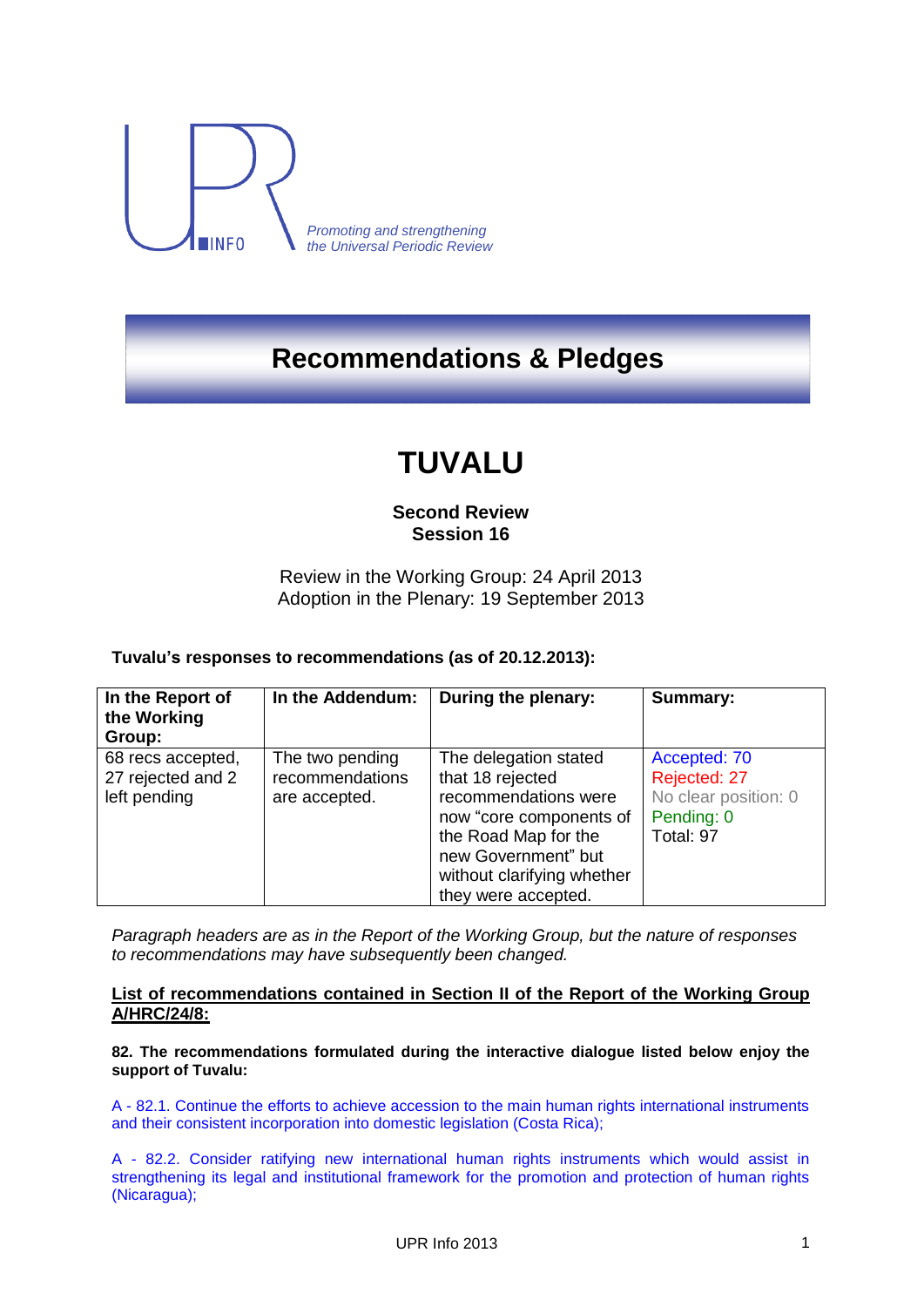

*Promoting and strengthening the Universal Periodic Review*

## **Recommendations & Pledges**

# **TUVALU**

### **Second Review Session 16**

Review in the Working Group: 24 April 2013 Adoption in the Plenary: 19 September 2013

#### **Tuvalu's responses to recommendations (as of 20.12.2013):**

| In the Report of<br>the Working<br>Group: | In the Addendum: | During the plenary:        | Summary:             |
|-------------------------------------------|------------------|----------------------------|----------------------|
| 68 recs accepted,                         | The two pending  | The delegation stated      | Accepted: 70         |
| 27 rejected and 2                         | recommendations  | that 18 rejected           | Rejected: 27         |
| left pending                              | are accepted.    | recommendations were       | No clear position: 0 |
|                                           |                  | now "core components of    | Pending: 0           |
|                                           |                  | the Road Map for the       | Total: 97            |
|                                           |                  | new Government" but        |                      |
|                                           |                  | without clarifying whether |                      |
|                                           |                  | they were accepted.        |                      |

*Paragraph headers are as in the Report of the Working Group, but the nature of responses to recommendations may have subsequently been changed.*

#### **List of recommendations contained in Section II of the Report of the Working Group A/HRC/24/8:**

**82. The recommendations formulated during the interactive dialogue listed below enjoy the support of Tuvalu:**

A - 82.1. Continue the efforts to achieve accession to the main human rights international instruments and their consistent incorporation into domestic legislation (Costa Rica);

A - 82.2. Consider ratifying new international human rights instruments which would assist in strengthening its legal and institutional framework for the promotion and protection of human rights (Nicaragua);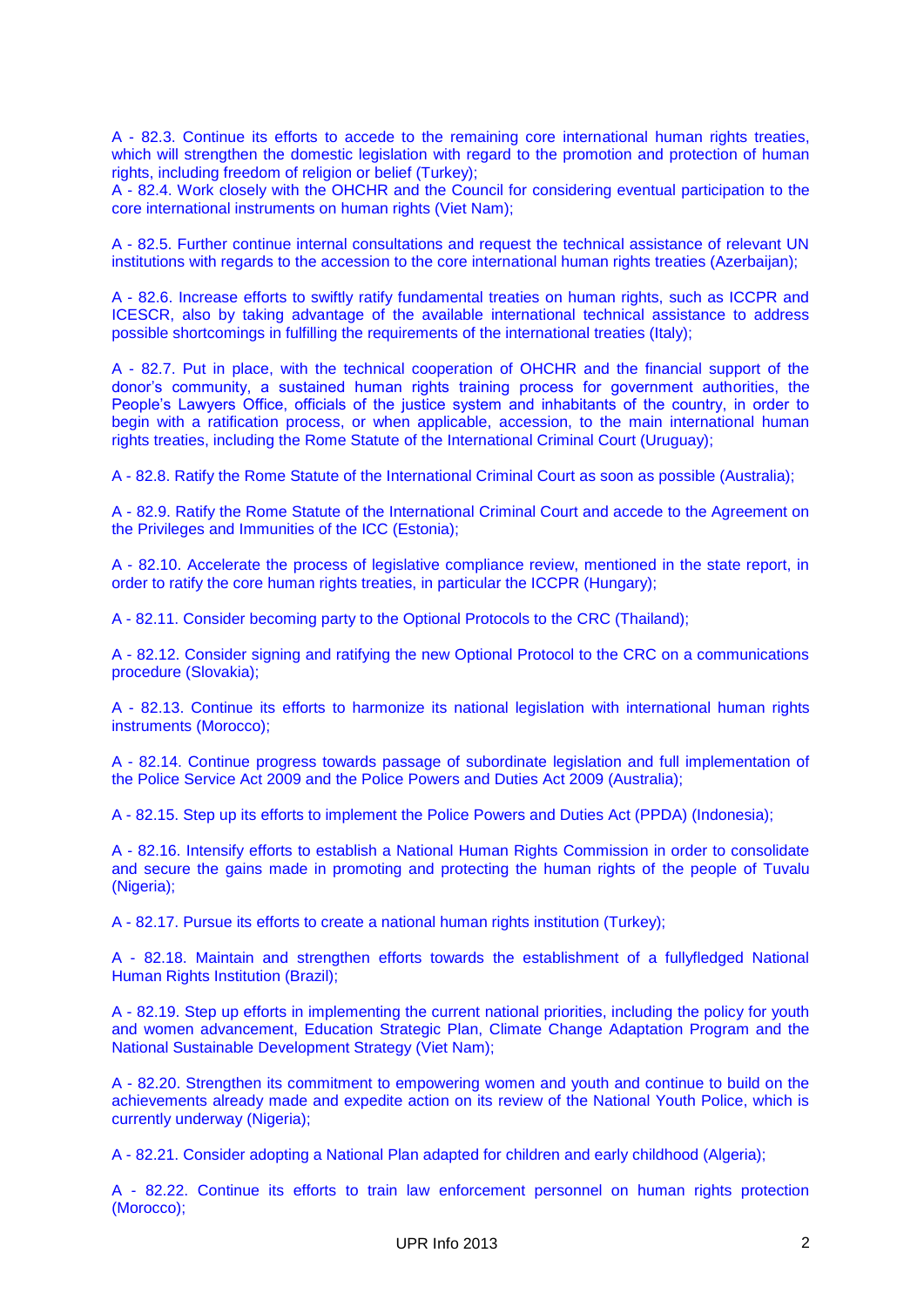A - 82.3. Continue its efforts to accede to the remaining core international human rights treaties, which will strengthen the domestic legislation with regard to the promotion and protection of human rights, including freedom of religion or belief (Turkey);

A - 82.4. Work closely with the OHCHR and the Council for considering eventual participation to the core international instruments on human rights (Viet Nam);

A - 82.5. Further continue internal consultations and request the technical assistance of relevant UN institutions with regards to the accession to the core international human rights treaties (Azerbaijan);

A - 82.6. Increase efforts to swiftly ratify fundamental treaties on human rights, such as ICCPR and ICESCR, also by taking advantage of the available international technical assistance to address possible shortcomings in fulfilling the requirements of the international treaties (Italy);

A - 82.7. Put in place, with the technical cooperation of OHCHR and the financial support of the donor's community, a sustained human rights training process for government authorities, the People's Lawyers Office, officials of the justice system and inhabitants of the country, in order to begin with a ratification process, or when applicable, accession, to the main international human rights treaties, including the Rome Statute of the International Criminal Court (Uruguay);

A - 82.8. Ratify the Rome Statute of the International Criminal Court as soon as possible (Australia);

A - 82.9. Ratify the Rome Statute of the International Criminal Court and accede to the Agreement on the Privileges and Immunities of the ICC (Estonia);

A - 82.10. Accelerate the process of legislative compliance review, mentioned in the state report, in order to ratify the core human rights treaties, in particular the ICCPR (Hungary);

A - 82.11. Consider becoming party to the Optional Protocols to the CRC (Thailand);

A - 82.12. Consider signing and ratifying the new Optional Protocol to the CRC on a communications procedure (Slovakia);

A - 82.13. Continue its efforts to harmonize its national legislation with international human rights instruments (Morocco);

A - 82.14. Continue progress towards passage of subordinate legislation and full implementation of the Police Service Act 2009 and the Police Powers and Duties Act 2009 (Australia);

A - 82.15. Step up its efforts to implement the Police Powers and Duties Act (PPDA) (Indonesia);

A - 82.16. Intensify efforts to establish a National Human Rights Commission in order to consolidate and secure the gains made in promoting and protecting the human rights of the people of Tuvalu (Nigeria);

A - 82.17. Pursue its efforts to create a national human rights institution (Turkey);

A - 82.18. Maintain and strengthen efforts towards the establishment of a fullyfledged National Human Rights Institution (Brazil);

A - 82.19. Step up efforts in implementing the current national priorities, including the policy for youth and women advancement, Education Strategic Plan, Climate Change Adaptation Program and the National Sustainable Development Strategy (Viet Nam);

A - 82.20. Strengthen its commitment to empowering women and youth and continue to build on the achievements already made and expedite action on its review of the National Youth Police, which is currently underway (Nigeria);

A - 82.21. Consider adopting a National Plan adapted for children and early childhood (Algeria);

A - 82.22. Continue its efforts to train law enforcement personnel on human rights protection (Morocco);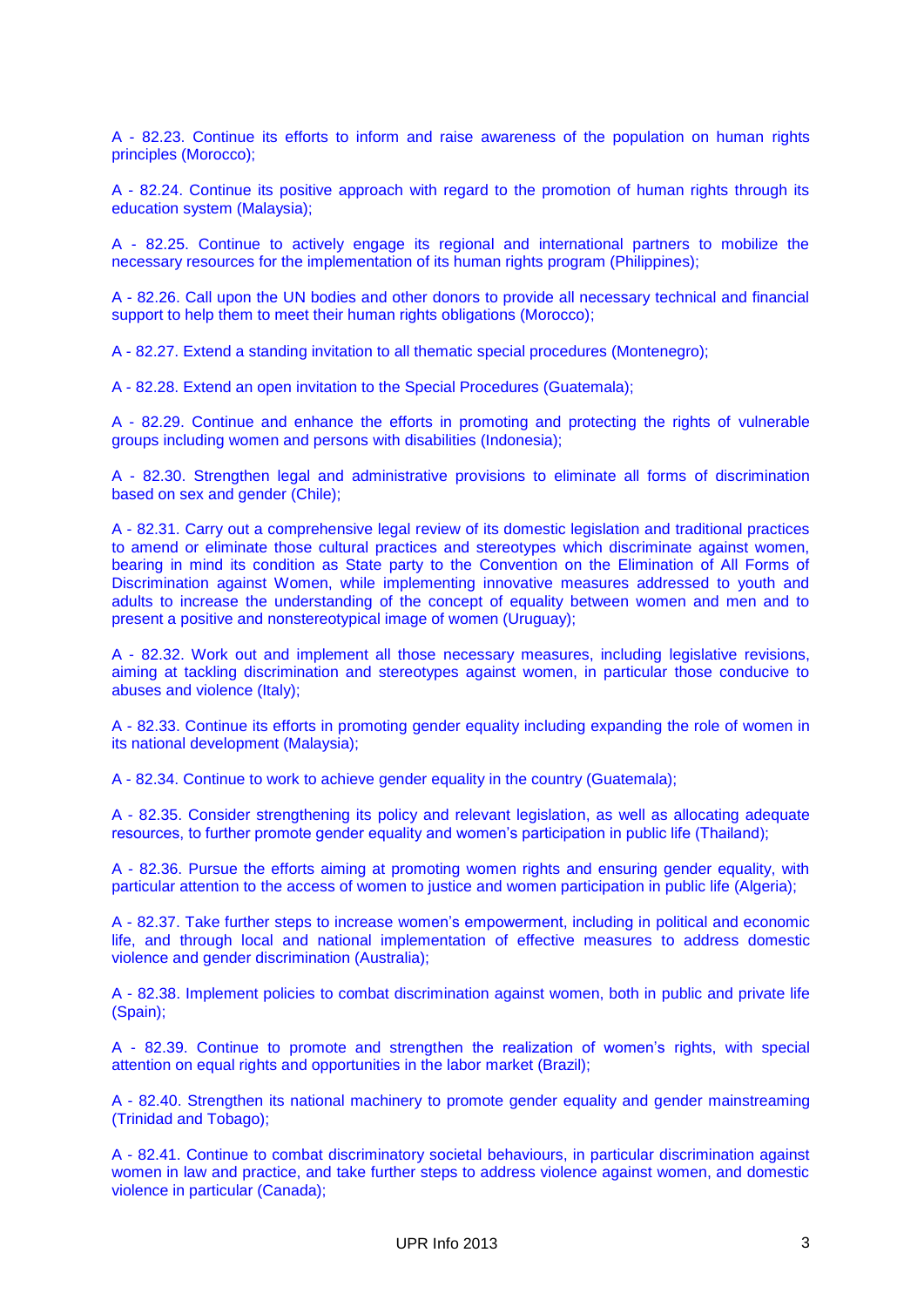A - 82.23. Continue its efforts to inform and raise awareness of the population on human rights principles (Morocco);

A - 82.24. Continue its positive approach with regard to the promotion of human rights through its education system (Malaysia);

A - 82.25. Continue to actively engage its regional and international partners to mobilize the necessary resources for the implementation of its human rights program (Philippines);

A - 82.26. Call upon the UN bodies and other donors to provide all necessary technical and financial support to help them to meet their human rights obligations (Morocco);

A - 82.27. Extend a standing invitation to all thematic special procedures (Montenegro);

A - 82.28. Extend an open invitation to the Special Procedures (Guatemala);

A - 82.29. Continue and enhance the efforts in promoting and protecting the rights of vulnerable groups including women and persons with disabilities (Indonesia);

A - 82.30. Strengthen legal and administrative provisions to eliminate all forms of discrimination based on sex and gender (Chile);

A - 82.31. Carry out a comprehensive legal review of its domestic legislation and traditional practices to amend or eliminate those cultural practices and stereotypes which discriminate against women, bearing in mind its condition as State party to the Convention on the Elimination of All Forms of Discrimination against Women, while implementing innovative measures addressed to youth and adults to increase the understanding of the concept of equality between women and men and to present a positive and nonstereotypical image of women (Uruguay);

A - 82.32. Work out and implement all those necessary measures, including legislative revisions, aiming at tackling discrimination and stereotypes against women, in particular those conducive to abuses and violence (Italy);

A - 82.33. Continue its efforts in promoting gender equality including expanding the role of women in its national development (Malaysia);

A - 82.34. Continue to work to achieve gender equality in the country (Guatemala);

A - 82.35. Consider strengthening its policy and relevant legislation, as well as allocating adequate resources, to further promote gender equality and women's participation in public life (Thailand);

A - 82.36. Pursue the efforts aiming at promoting women rights and ensuring gender equality, with particular attention to the access of women to justice and women participation in public life (Algeria);

A - 82.37. Take further steps to increase women's empowerment, including in political and economic life, and through local and national implementation of effective measures to address domestic violence and gender discrimination (Australia);

A - 82.38. Implement policies to combat discrimination against women, both in public and private life (Spain);

A - 82.39. Continue to promote and strengthen the realization of women's rights, with special attention on equal rights and opportunities in the labor market (Brazil);

A - 82.40. Strengthen its national machinery to promote gender equality and gender mainstreaming (Trinidad and Tobago);

A - 82.41. Continue to combat discriminatory societal behaviours, in particular discrimination against women in law and practice, and take further steps to address violence against women, and domestic violence in particular (Canada);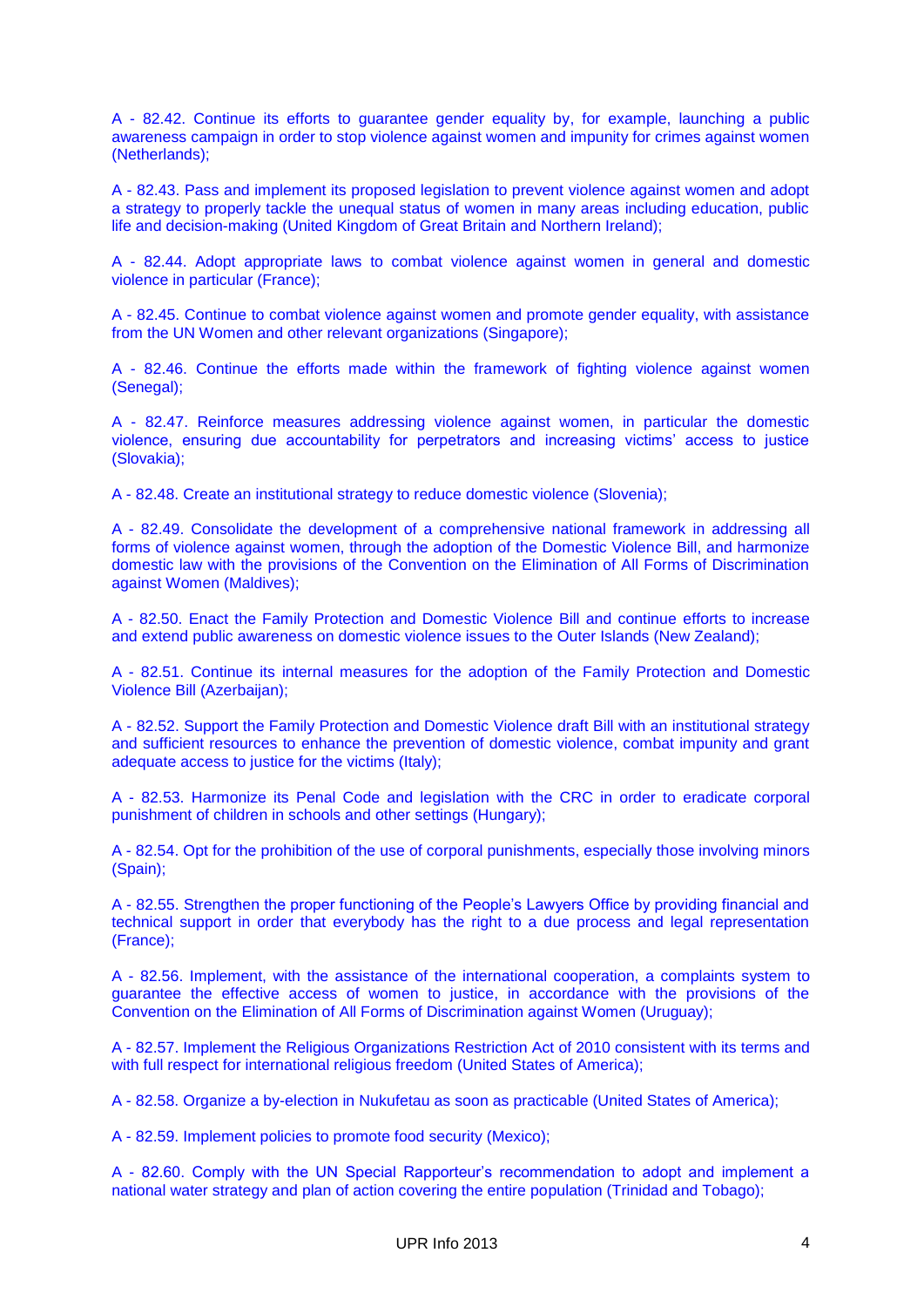A - 82.42. Continue its efforts to guarantee gender equality by, for example, launching a public awareness campaign in order to stop violence against women and impunity for crimes against women (Netherlands);

A - 82.43. Pass and implement its proposed legislation to prevent violence against women and adopt a strategy to properly tackle the unequal status of women in many areas including education, public life and decision-making (United Kingdom of Great Britain and Northern Ireland);

A - 82.44. Adopt appropriate laws to combat violence against women in general and domestic violence in particular (France);

A - 82.45. Continue to combat violence against women and promote gender equality, with assistance from the UN Women and other relevant organizations (Singapore);

A - 82.46. Continue the efforts made within the framework of fighting violence against women (Senegal);

A - 82.47. Reinforce measures addressing violence against women, in particular the domestic violence, ensuring due accountability for perpetrators and increasing victims' access to justice (Slovakia);

A - 82.48. Create an institutional strategy to reduce domestic violence (Slovenia);

A - 82.49. Consolidate the development of a comprehensive national framework in addressing all forms of violence against women, through the adoption of the Domestic Violence Bill, and harmonize domestic law with the provisions of the Convention on the Elimination of All Forms of Discrimination against Women (Maldives);

A - 82.50. Enact the Family Protection and Domestic Violence Bill and continue efforts to increase and extend public awareness on domestic violence issues to the Outer Islands (New Zealand);

A - 82.51. Continue its internal measures for the adoption of the Family Protection and Domestic Violence Bill (Azerbaijan);

A - 82.52. Support the Family Protection and Domestic Violence draft Bill with an institutional strategy and sufficient resources to enhance the prevention of domestic violence, combat impunity and grant adequate access to justice for the victims (Italy);

A - 82.53. Harmonize its Penal Code and legislation with the CRC in order to eradicate corporal punishment of children in schools and other settings (Hungary);

A - 82.54. Opt for the prohibition of the use of corporal punishments, especially those involving minors (Spain);

A - 82.55. Strengthen the proper functioning of the People's Lawyers Office by providing financial and technical support in order that everybody has the right to a due process and legal representation (France);

A - 82.56. Implement, with the assistance of the international cooperation, a complaints system to guarantee the effective access of women to justice, in accordance with the provisions of the Convention on the Elimination of All Forms of Discrimination against Women (Uruguay);

A - 82.57. Implement the Religious Organizations Restriction Act of 2010 consistent with its terms and with full respect for international religious freedom (United States of America);

A - 82.58. Organize a by-election in Nukufetau as soon as practicable (United States of America);

A - 82.59. Implement policies to promote food security (Mexico);

A - 82.60. Comply with the UN Special Rapporteur's recommendation to adopt and implement a national water strategy and plan of action covering the entire population (Trinidad and Tobago);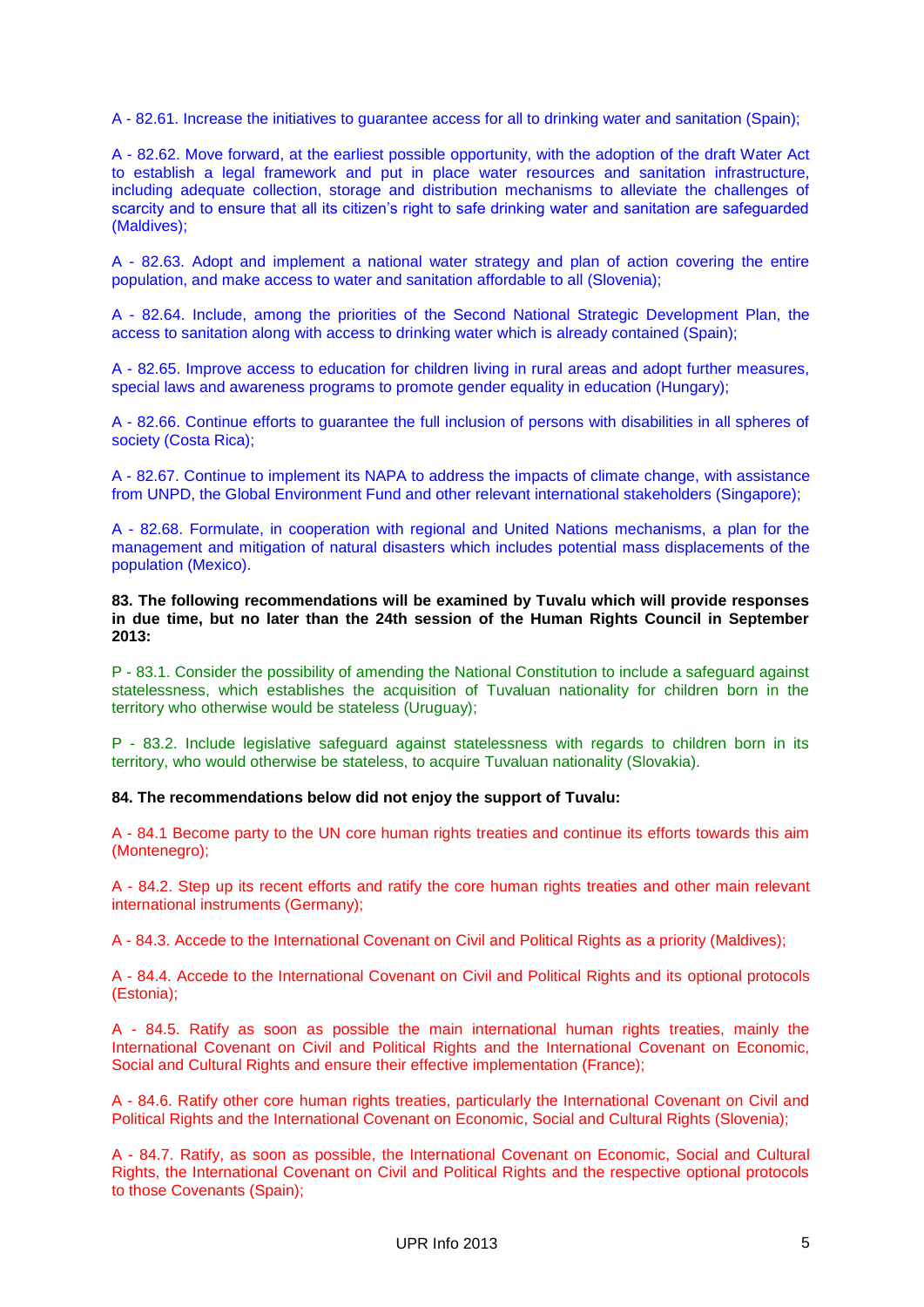A - 82.61. Increase the initiatives to guarantee access for all to drinking water and sanitation (Spain);

A - 82.62. Move forward, at the earliest possible opportunity, with the adoption of the draft Water Act to establish a legal framework and put in place water resources and sanitation infrastructure, including adequate collection, storage and distribution mechanisms to alleviate the challenges of scarcity and to ensure that all its citizen's right to safe drinking water and sanitation are safeguarded (Maldives);

A - 82.63. Adopt and implement a national water strategy and plan of action covering the entire population, and make access to water and sanitation affordable to all (Slovenia);

A - 82.64. Include, among the priorities of the Second National Strategic Development Plan, the access to sanitation along with access to drinking water which is already contained (Spain);

A - 82.65. Improve access to education for children living in rural areas and adopt further measures, special laws and awareness programs to promote gender equality in education (Hungary);

A - 82.66. Continue efforts to guarantee the full inclusion of persons with disabilities in all spheres of society (Costa Rica);

A - 82.67. Continue to implement its NAPA to address the impacts of climate change, with assistance from UNPD, the Global Environment Fund and other relevant international stakeholders (Singapore);

A - 82.68. Formulate, in cooperation with regional and United Nations mechanisms, a plan for the management and mitigation of natural disasters which includes potential mass displacements of the population (Mexico).

**83. The following recommendations will be examined by Tuvalu which will provide responses in due time, but no later than the 24th session of the Human Rights Council in September 2013:**

P - 83.1. Consider the possibility of amending the National Constitution to include a safeguard against statelessness, which establishes the acquisition of Tuvaluan nationality for children born in the territory who otherwise would be stateless (Uruguay);

P - 83.2. Include legislative safeguard against statelessness with regards to children born in its territory, who would otherwise be stateless, to acquire Tuvaluan nationality (Slovakia).

**84. The recommendations below did not enjoy the support of Tuvalu:**

A - 84.1 Become party to the UN core human rights treaties and continue its efforts towards this aim (Montenegro);

A - 84.2. Step up its recent efforts and ratify the core human rights treaties and other main relevant international instruments (Germany);

A - 84.3. Accede to the International Covenant on Civil and Political Rights as a priority (Maldives);

A - 84.4. Accede to the International Covenant on Civil and Political Rights and its optional protocols (Estonia);

A - 84.5. Ratify as soon as possible the main international human rights treaties, mainly the International Covenant on Civil and Political Rights and the International Covenant on Economic, Social and Cultural Rights and ensure their effective implementation (France);

A - 84.6. Ratify other core human rights treaties, particularly the International Covenant on Civil and Political Rights and the International Covenant on Economic, Social and Cultural Rights (Slovenia);

A - 84.7. Ratify, as soon as possible, the International Covenant on Economic, Social and Cultural Rights, the International Covenant on Civil and Political Rights and the respective optional protocols to those Covenants (Spain);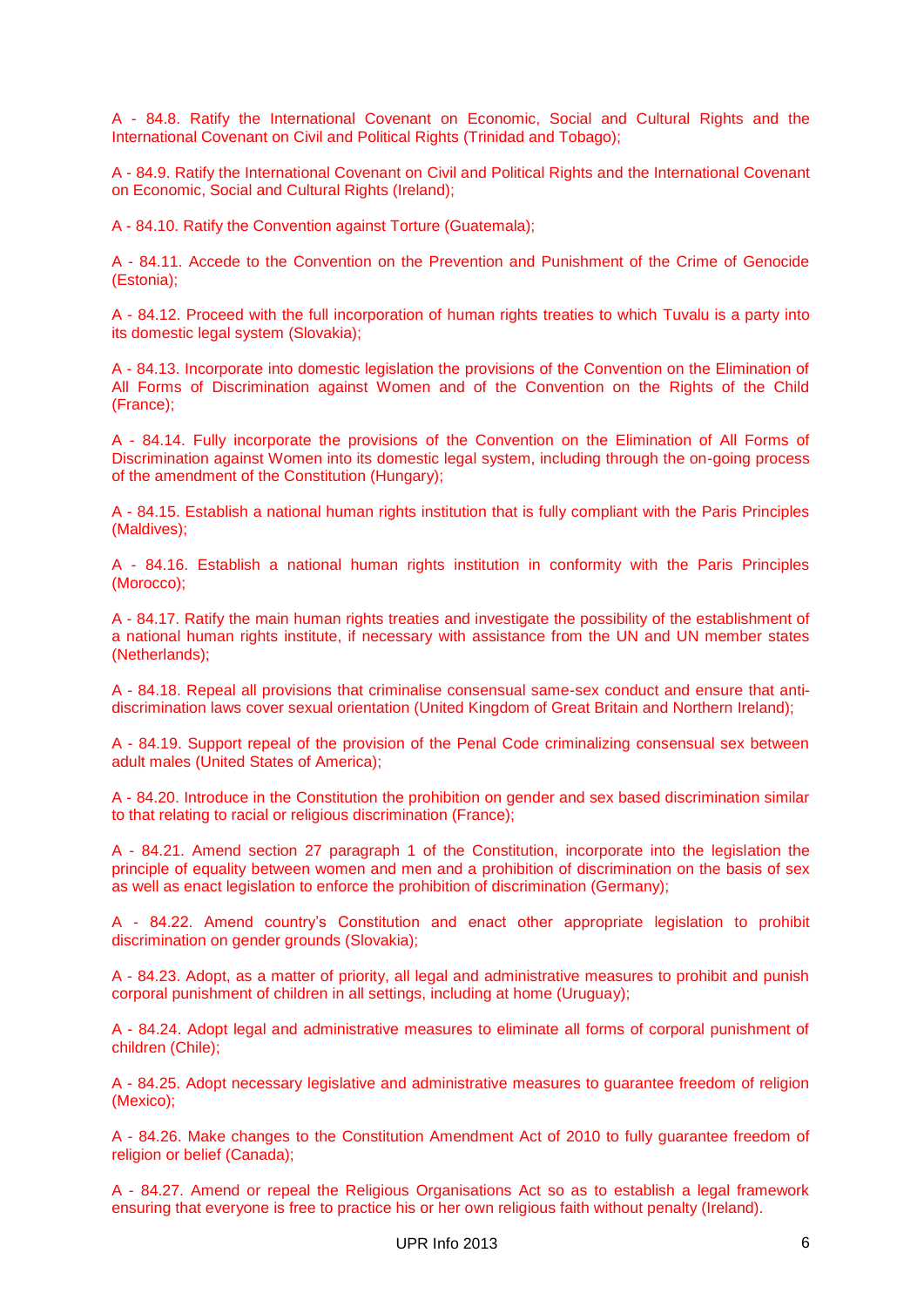A - 84.8. Ratify the International Covenant on Economic, Social and Cultural Rights and the International Covenant on Civil and Political Rights (Trinidad and Tobago);

A - 84.9. Ratify the International Covenant on Civil and Political Rights and the International Covenant on Economic, Social and Cultural Rights (Ireland);

A - 84.10. Ratify the Convention against Torture (Guatemala);

A - 84.11. Accede to the Convention on the Prevention and Punishment of the Crime of Genocide (Estonia);

A - 84.12. Proceed with the full incorporation of human rights treaties to which Tuvalu is a party into its domestic legal system (Slovakia);

A - 84.13. Incorporate into domestic legislation the provisions of the Convention on the Elimination of All Forms of Discrimination against Women and of the Convention on the Rights of the Child (France);

A - 84.14. Fully incorporate the provisions of the Convention on the Elimination of All Forms of Discrimination against Women into its domestic legal system, including through the on-going process of the amendment of the Constitution (Hungary);

A - 84.15. Establish a national human rights institution that is fully compliant with the Paris Principles (Maldives);

A - 84.16. Establish a national human rights institution in conformity with the Paris Principles (Morocco);

A - 84.17. Ratify the main human rights treaties and investigate the possibility of the establishment of a national human rights institute, if necessary with assistance from the UN and UN member states (Netherlands);

A - 84.18. Repeal all provisions that criminalise consensual same-sex conduct and ensure that antidiscrimination laws cover sexual orientation (United Kingdom of Great Britain and Northern Ireland);

A - 84.19. Support repeal of the provision of the Penal Code criminalizing consensual sex between adult males (United States of America);

A - 84.20. Introduce in the Constitution the prohibition on gender and sex based discrimination similar to that relating to racial or religious discrimination (France);

A - 84.21. Amend section 27 paragraph 1 of the Constitution, incorporate into the legislation the principle of equality between women and men and a prohibition of discrimination on the basis of sex as well as enact legislation to enforce the prohibition of discrimination (Germany);

A - 84.22. Amend country's Constitution and enact other appropriate legislation to prohibit discrimination on gender grounds (Slovakia);

A - 84.23. Adopt, as a matter of priority, all legal and administrative measures to prohibit and punish corporal punishment of children in all settings, including at home (Uruguay);

A - 84.24. Adopt legal and administrative measures to eliminate all forms of corporal punishment of children (Chile);

A - 84.25. Adopt necessary legislative and administrative measures to guarantee freedom of religion (Mexico);

A - 84.26. Make changes to the Constitution Amendment Act of 2010 to fully guarantee freedom of religion or belief (Canada);

A - 84.27. Amend or repeal the Religious Organisations Act so as to establish a legal framework ensuring that everyone is free to practice his or her own religious faith without penalty (Ireland).